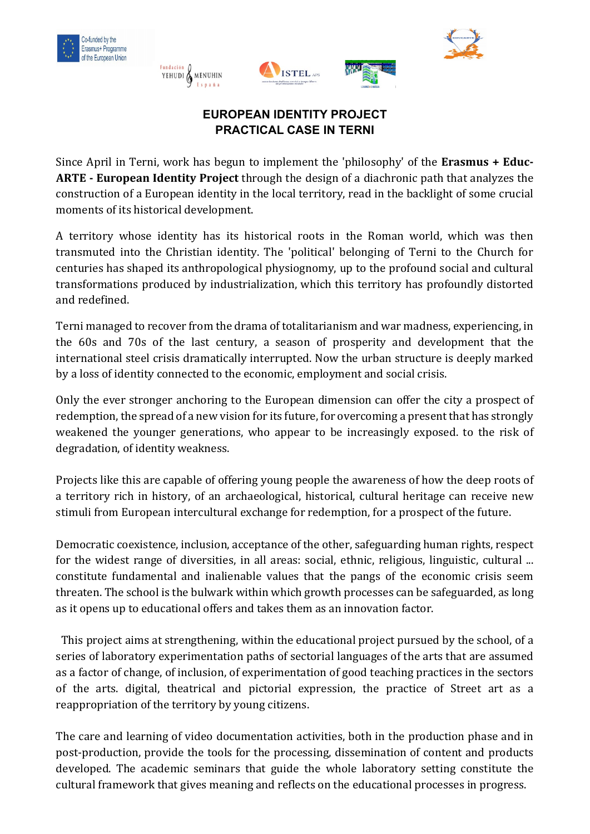







# **EUROPEAN IDENTITY PROJECT PRACTICAL CASE IN TERNI**

Since April in Terni, work has begun to implement the 'philosophy' of the **Erasmus + Educ-ARTE - European Identity Project** through the design of a diachronic path that analyzes the construction of a European identity in the local territory, read in the backlight of some crucial moments of its historical development.

A territory whose identity has its historical roots in the Roman world, which was then transmuted into the Christian identity. The 'political' belonging of Terni to the Church for centuries has shaped its anthropological physiognomy, up to the profound social and cultural transformations produced by industrialization, which this territory has profoundly distorted and redefined.

Terni managed to recover from the drama of totalitarianism and war madness, experiencing, in the 60s and 70s of the last century, a season of prosperity and development that the international steel crisis dramatically interrupted. Now the urban structure is deeply marked by a loss of identity connected to the economic, employment and social crisis.

Only the ever stronger anchoring to the European dimension can offer the city a prospect of redemption, the spread of a new vision for its future, for overcoming a present that has strongly weakened the younger generations, who appear to be increasingly exposed. to the risk of degradation, of identity weakness.

Projects like this are capable of offering young people the awareness of how the deep roots of a territory rich in history, of an archaeological, historical, cultural heritage can receive new stimuli from European intercultural exchange for redemption, for a prospect of the future.

Democratic coexistence, inclusion, acceptance of the other, safeguarding human rights, respect for the widest range of diversities, in all areas: social, ethnic, religious, linguistic, cultural ... constitute fundamental and inalienable values that the pangs of the economic crisis seem threaten. The school is the bulwark within which growth processes can be safeguarded, as long as it opens up to educational offers and takes them as an innovation factor.

 This project aims at strengthening, within the educational project pursued by the school, of a series of laboratory experimentation paths of sectorial languages of the arts that are assumed as a factor of change, of inclusion, of experimentation of good teaching practices in the sectors of the arts. digital, theatrical and pictorial expression, the practice of Street art as a reappropriation of the territory by young citizens.

The care and learning of video documentation activities, both in the production phase and in post-production, provide the tools for the processing, dissemination of content and products developed. The academic seminars that guide the whole laboratory setting constitute the cultural framework that gives meaning and reflects on the educational processes in progress.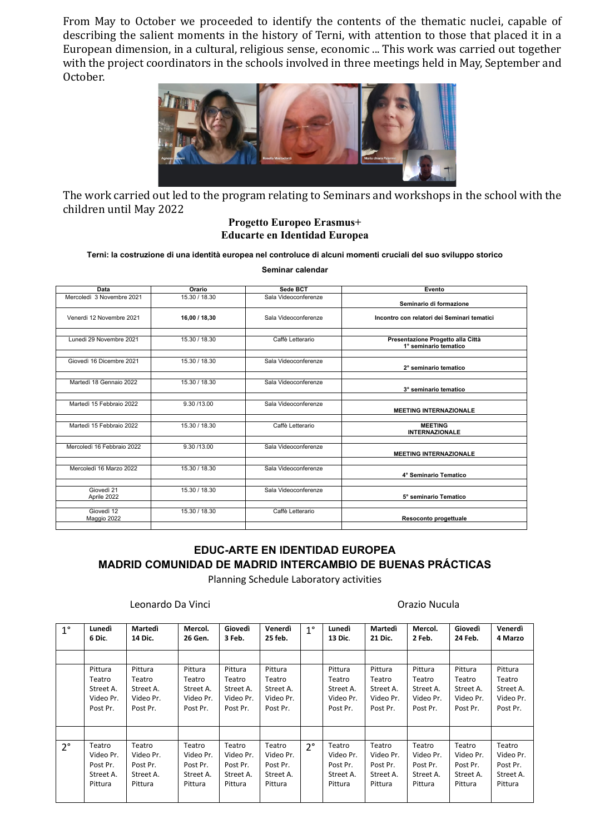From May to October we proceeded to identify the contents of the thematic nuclei, capable of describing the salient moments in the history of Terni, with attention to those that placed it in a European dimension, in a cultural, religious sense, economic ... This work was carried out together with the project coordinators in the schools involved in three meetings held in May, September and October.



The work carried out led to the program relating to Seminars and workshops in the school with the children until May 2022

#### **Progetto Europeo Erasmus+ Educarte en Identidad Europea**

#### **Terni: la costruzione di una identità europea nel controluce di alcuni momenti cruciali del suo sviluppo storico**

**Seminar calendar**

| Data                       | Orario        | Sede BCT             | Evento                                                     |
|----------------------------|---------------|----------------------|------------------------------------------------------------|
| Mercoledì 3 Novembre 2021  | 15.30 / 18.30 | Sala Videoconferenze | Seminario di formazione                                    |
| Venerdi 12 Novembre 2021   | 16,00 / 18,30 | Sala Videoconferenze | Incontro con relatori dei Seminari tematici                |
| Lunedi 29 Novembre 2021    | 15.30 / 18.30 | Caffè Letterario     | Presentazione Progetto alla Città<br>1° seminario tematico |
| Giovedì 16 Dicembre 2021   | 15.30 / 18.30 | Sala Videoconferenze | 2° seminario tematico                                      |
| Martedì 18 Gennaio 2022    | 15.30 / 18.30 | Sala Videoconferenze | 3° seminario tematico                                      |
| Martedì 15 Febbraio 2022   | 9.30 /13.00   | Sala Videoconferenze | <b>MEETING INTERNAZIONALE</b>                              |
| Martedì 15 Febbraio 2022   | 15.30 / 18.30 | Caffè Letterario     | <b>MEETING</b><br><b>INTERNAZIONALE</b>                    |
| Mercoledì 16 Febbraio 2022 | 9.30 /13.00   | Sala Videoconferenze | <b>MEETING INTERNAZIONALE</b>                              |
| Mercoledì 16 Marzo 2022    | 15.30 / 18.30 | Sala Videoconferenze | 4° Seminario Tematico                                      |
| Giovedì 21<br>Aprile 2022  | 15.30 / 18.30 | Sala Videoconferenze | 5° seminario Tematico                                      |
| Giovedì 12<br>Maggio 2022  | 15.30 / 18.30 | Caffè Letterario     | Resoconto progettuale                                      |

## **EDUC-ARTE EN IDENTIDAD EUROPEA MADRID COMUNIDAD DE MADRID INTERCAMBIO DE BUENAS PRÁCTICAS**

Planning Schedule Laboratory activities

#### Leonardo Da Vinci **Casa di Casa di Casa di Casa di Casa di Casa di Casa di Casa di Casa di Casa di Casa di Cas**

| $1^{\circ}$ | Lunedì<br>6 Dic. | Martedì<br>14 Dic. | Mercol.<br>26 Gen. | Giovedì<br>3 Feb. | Venerdì<br>25 feb. | $1^{\circ}$ | Lunedì<br>13 Dic. | Martedì<br>21 Dic. | Mercol.<br>2 Feb. | Giovedì<br>24 Feb. | Venerdì<br>4 Marzo |
|-------------|------------------|--------------------|--------------------|-------------------|--------------------|-------------|-------------------|--------------------|-------------------|--------------------|--------------------|
|             |                  |                    |                    |                   |                    |             |                   |                    |                   |                    |                    |
|             |                  |                    |                    |                   |                    |             |                   |                    |                   |                    |                    |
|             | Pittura          | Pittura            | Pittura            | Pittura           | Pittura            |             | Pittura           | Pittura            | Pittura           | Pittura            | Pittura            |
|             | Teatro           | Teatro             | Teatro             | Teatro            | Teatro             |             | Teatro            | Teatro             | Teatro            | Teatro             | Teatro             |
|             | Street A.        | Street A.          | Street A.          | Street A.         | Street A.          |             | Street A.         | Street A.          | Street A.         | Street A.          | Street A.          |
|             | Video Pr.        | Video Pr.          | Video Pr.          | Video Pr.         | Video Pr.          |             | Video Pr.         | Video Pr.          | Video Pr.         | Video Pr.          | Video Pr.          |
|             | Post Pr.         | Post Pr.           | Post Pr.           | Post Pr.          | Post Pr.           |             | Post Pr.          | Post Pr.           | Post Pr.          | Post Pr.           | Post Pr.           |
|             |                  |                    |                    |                   |                    |             |                   |                    |                   |                    |                    |
|             |                  |                    |                    |                   |                    |             |                   |                    |                   |                    |                    |
| $2^{\circ}$ | Teatro           | Teatro             | Teatro             | Teatro            | Teatro             | $2^{\circ}$ | Teatro            | Teatro             | Teatro            | Teatro             | Teatro             |
|             | Video Pr.        | Video Pr.          | Video Pr.          | Video Pr.         | Video Pr.          |             | Video Pr.         | Video Pr.          | Video Pr.         | Video Pr.          | Video Pr.          |
|             | Post Pr.         | Post Pr.           | Post Pr.           | Post Pr.          | Post Pr.           |             | Post Pr.          | Post Pr.           | Post Pr.          | Post Pr.           | Post Pr.           |
|             | Street A.        | Street A.          | Street A.          | Street A.         | Street A.          |             | Street A.         | Street A.          | Street A.         | Street A.          | Street A.          |
|             | Pittura          | Pittura            | Pittura            | Pittura           | Pittura            |             | Pittura           | Pittura            | Pittura           | Pittura            | Pittura            |
|             |                  |                    |                    |                   |                    |             |                   |                    |                   |                    |                    |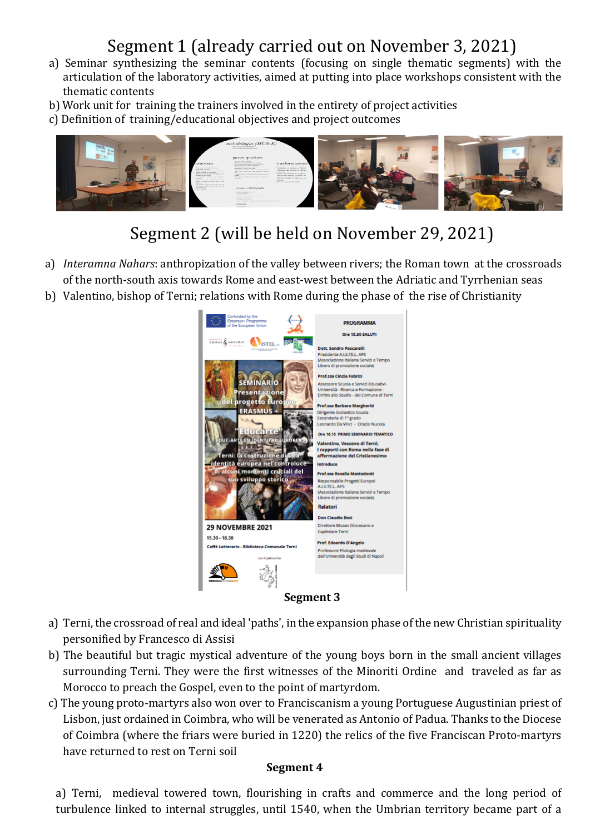# Segment 1 (already carried out on November 3, 2021)

- a) Seminar synthesizing the seminar contents (focusing on single thematic segments) with the articulation of the laboratory activities, aimed at putting into place workshops consistent with the thematic contents
- b) Work unit for training the trainers involved in the entirety of project activities
- c) Definition of training/educational objectives and project outcomes



# Segment 2 (will be held on November 29, 2021)

- a) *Interamna Nahars*: anthropization of the valley between rivers; the Roman town at the crossroads of the north-south axis towards Rome and east-west between the Adriatic and Tyrrhenian seas
- b) Valentino, bishop of Terni; relations with Rome during the phase of the rise of Christianity



- a) Terni, the crossroad of real and ideal 'paths', in the expansion phase of the new Christian spirituality personified by Francesco di Assisi
- b) The beautiful but tragic mystical adventure of the young boys born in the small ancient villages surrounding Terni. They were the first witnesses of the Minoriti Ordine and traveled as far as Morocco to preach the Gospel, even to the point of martyrdom.
- c) The young proto-martyrs also won over to Franciscanism a young Portuguese Augustinian priest of Lisbon, just ordained in Coimbra, who will be venerated as Antonio of Padua. Thanks to the Diocese of Coimbra (where the friars were buried in 1220) the relics of the five Franciscan Proto-martyrs have returned to rest on Terni soil

#### **Segment 4**

a) Terni, medieval towered town, flourishing in crafts and commerce and the long period of turbulence linked to internal struggles, until 1540, when the Umbrian territory became part of a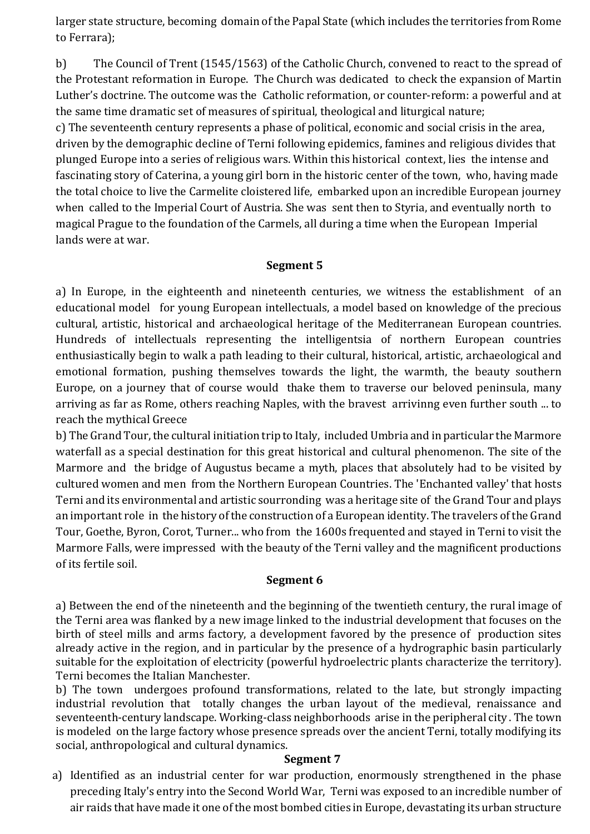larger state structure, becoming domain of the Papal State (which includes the territories from Rome to Ferrara);

b) The Council of Trent (1545/1563) of the Catholic Church, convened to react to the spread of the Protestant reformation in Europe. The Church was dedicated to check the expansion of Martin Luther's doctrine. The outcome was the Catholic reformation, or counter-reform: a powerful and at the same time dramatic set of measures of spiritual, theological and liturgical nature;

c) The seventeenth century represents a phase of political, economic and social crisis in the area, driven by the demographic decline of Terni following epidemics, famines and religious divides that plunged Europe into a series of religious wars. Within this historical context, lies the intense and fascinating story of Caterina, a young girl born in the historic center of the town, who, having made the total choice to live the Carmelite cloistered life, embarked upon an incredible European journey when called to the Imperial Court of Austria. She was sent then to Styria, and eventually north to magical Prague to the foundation of the Carmels, all during a time when the European Imperial lands were at war.

#### **Segment 5**

a) In Europe, in the eighteenth and nineteenth centuries, we witness the establishment of an educational model for young European intellectuals, a model based on knowledge of the precious cultural, artistic, historical and archaeological heritage of the Mediterranean European countries. Hundreds of intellectuals representing the intelligentsia of northern European countries enthusiastically begin to walk a path leading to their cultural, historical, artistic, archaeological and emotional formation, pushing themselves towards the light, the warmth, the beauty southern Europe, on a journey that of course would thake them to traverse our beloved peninsula, many arriving as far as Rome, others reaching Naples, with the bravest arrivinng even further south ... to reach the mythical Greece

b) The Grand Tour, the cultural initiation trip to Italy, included Umbria and in particular the Marmore waterfall as a special destination for this great historical and cultural phenomenon. The site of the Marmore and the bridge of Augustus became a myth, places that absolutely had to be visited by cultured women and men from the Northern European Countries. The 'Enchanted valley' that hosts Terni and its environmental and artistic sourronding was a heritage site of the Grand Tour and plays an important role in the history of the construction of a European identity. The travelers of the Grand Tour, Goethe, Byron, Corot, Turner... who from the 1600s frequented and stayed in Terni to visit the Marmore Falls, were impressed with the beauty of the Terni valley and the magnificent productions of its fertile soil.

## **Segment 6**

a) Between the end of the nineteenth and the beginning of the twentieth century, the rural image of the Terni area was flanked by a new image linked to the industrial development that focuses on the birth of steel mills and arms factory, a development favored by the presence of production sites already active in the region, and in particular by the presence of a hydrographic basin particularly suitable for the exploitation of electricity (powerful hydroelectric plants characterize the territory). Terni becomes the Italian Manchester.

b) The town undergoes profound transformations, related to the late, but strongly impacting industrial revolution that totally changes the urban layout of the medieval, renaissance and seventeenth-century landscape. Working-class neighborhoods arise in the peripheral city . The town is modeled on the large factory whose presence spreads over the ancient Terni, totally modifying its social, anthropological and cultural dynamics.

#### **Segment 7**

a) Identified as an industrial center for war production, enormously strengthened in the phase preceding Italy's entry into the Second World War, Terni was exposed to an incredible number of air raids that have made it one of the most bombed cities in Europe, devastating its urban structure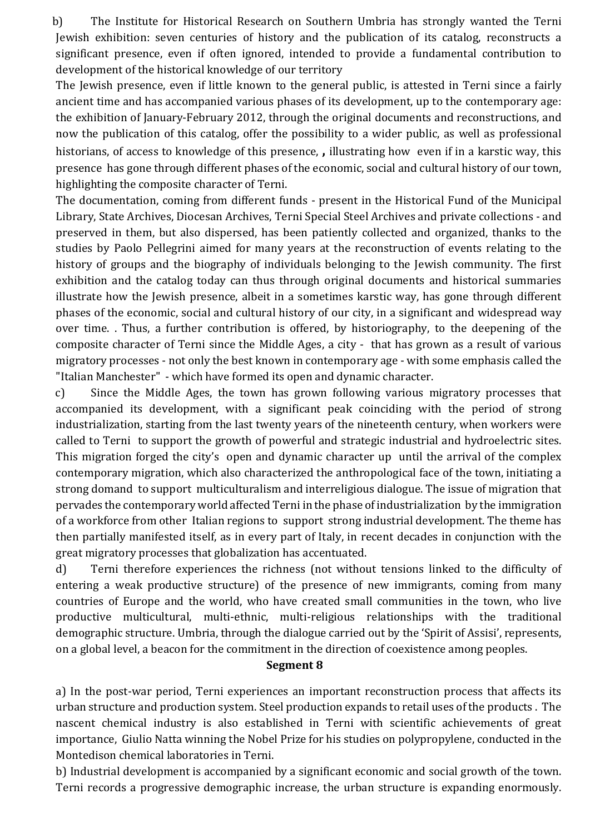b) The Institute for Historical Research on Southern Umbria has strongly wanted the Terni Jewish exhibition: seven centuries of history and the publication of its catalog, reconstructs a significant presence, even if often ignored, intended to provide a fundamental contribution to development of the historical knowledge of our territory

The Jewish presence, even if little known to the general public, is attested in Terni since a fairly ancient time and has accompanied various phases of its development, up to the contemporary age: the exhibition of January-February 2012, through the original documents and reconstructions, and now the publication of this catalog, offer the possibility to a wider public, as well as professional historians, of access to knowledge of this presence, **,** illustrating how even if in a karstic way, this presence has gone through different phases of the economic, social and cultural history of our town, highlighting the composite character of Terni.

The documentation, coming from different funds - present in the Historical Fund of the Municipal Library, State Archives, Diocesan Archives, Terni Special Steel Archives and private collections - and preserved in them, but also dispersed, has been patiently collected and organized, thanks to the studies by Paolo Pellegrini aimed for many years at the reconstruction of events relating to the history of groups and the biography of individuals belonging to the Jewish community. The first exhibition and the catalog today can thus through original documents and historical summaries illustrate how the Jewish presence, albeit in a sometimes karstic way, has gone through different phases of the economic, social and cultural history of our city, in a significant and widespread way over time. . Thus, a further contribution is offered, by historiography, to the deepening of the composite character of Terni since the Middle Ages, a city - that has grown as a result of various migratory processes - not only the best known in contemporary age - with some emphasis called the "Italian Manchester" - which have formed its open and dynamic character.

c) Since the Middle Ages, the town has grown following various migratory processes that accompanied its development, with a significant peak coinciding with the period of strong industrialization, starting from the last twenty years of the nineteenth century, when workers were called to Terni to support the growth of powerful and strategic industrial and hydroelectric sites. This migration forged the city's open and dynamic character up until the arrival of the complex contemporary migration, which also characterized the anthropological face of the town, initiating a strong domand to support multiculturalism and interreligious dialogue. The issue of migration that pervades the contemporary world affected Terni in the phase of industrialization by the immigration of a workforce from other Italian regions to support strong industrial development. The theme has then partially manifested itself, as in every part of Italy, in recent decades in conjunction with the great migratory processes that globalization has accentuated.

d) Terni therefore experiences the richness (not without tensions linked to the difficulty of entering a weak productive structure) of the presence of new immigrants, coming from many countries of Europe and the world, who have created small communities in the town, who live productive multicultural, multi-ethnic, multi-religious relationships with the traditional demographic structure. Umbria, through the dialogue carried out by the 'Spirit of Assisi', represents, on a global level, a beacon for the commitment in the direction of coexistence among peoples.

#### **Segment 8**

a) In the post-war period, Terni experiences an important reconstruction process that affects its urban structure and production system. Steel production expands to retail uses of the products . The nascent chemical industry is also established in Terni with scientific achievements of great importance, Giulio Natta winning the Nobel Prize for his studies on polypropylene, conducted in the Montedison chemical laboratories in Terni.

b) Industrial development is accompanied by a significant economic and social growth of the town. Terni records a progressive demographic increase, the urban structure is expanding enormously.